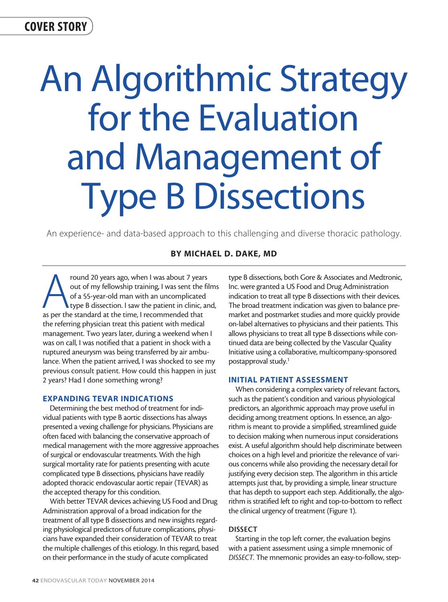COVER STORY

# An Algorithmic Strategy for the Evaluation and Management of Type B Dissections

An experience- and data-based approach to this challenging and diverse thoracic pathology.

# BY MICHAEL D. DAKE, MD

From 20 years ago, when I was about 7 years<br>
out of my fellowship training, I was sent the fil<br>
of a 55-year-old man with an uncomplicated<br>
type B dissection. I saw the patient in clinic, ar<br>
as per the standard at the tim out of my fellowship training, I was sent the films of a 55-year-old man with an uncomplicated type B dissection. I saw the patient in clinic, and, the referring physician treat this patient with medical management. Two years later, during a weekend when I was on call, I was notified that a patient in shock with a ruptured aneurysm was being transferred by air ambulance. When the patient arrived, I was shocked to see my previous consult patient. How could this happen in just 2 years? Had I done something wrong?

## EXPANDING TEVAR INDICATIONS

Determining the best method of treatment for individual patients with type B aortic dissections has always presented a vexing challenge for physicians. Physicians are often faced with balancing the conservative approach of medical management with the more aggressive approaches of surgical or endovascular treatments. With the high surgical mortality rate for patients presenting with acute complicated type B dissections, physicians have readily adopted thoracic endovascular aortic repair (TEVAR) as the accepted therapy for this condition.

With better TEVAR devices achieving US Food and Drug Administration approval of a broad indication for the treatment of all type B dissections and new insights regarding physiological predictors of future complications, physicians have expanded their consideration of TEVAR to treat the multiple challenges of this etiology. In this regard, based on their performance in the study of acute complicated

type B dissections, both Gore & Associates and Medtronic, Inc. were granted a US Food and Drug Administration indication to treat all type B dissections with their devices. The broad treatment indication was given to balance premarket and postmarket studies and more quickly provide on-label alternatives to physicians and their patients. This allows physicians to treat all type B dissections while continued data are being collected by the Vascular Quality Initiative using a collaborative, multicompany-sponsored postapproval study.1

## INITIAL PATIENT ASSESSMENT

When considering a complex variety of relevant factors, such as the patient's condition and various physiological predictors, an algorithmic approach may prove useful in deciding among treatment options. In essence, an algorithm is meant to provide a simplified, streamlined guide to decision making when numerous input considerations exist. A useful algorithm should help discriminate between choices on a high level and prioritize the relevance of various concerns while also providing the necessary detail for justifying every decision step. The algorithm in this article attempts just that, by providing a simple, linear structure that has depth to support each step. Additionally, the algorithm is stratified left to right and top-to-bottom to reflect the clinical urgency of treatment (Figure 1).

#### DISSECT

Starting in the top left corner, the evaluation begins with a patient assessment using a simple mnemonic of *DISSECT.* The mnemonic provides an easy-to-follow, step-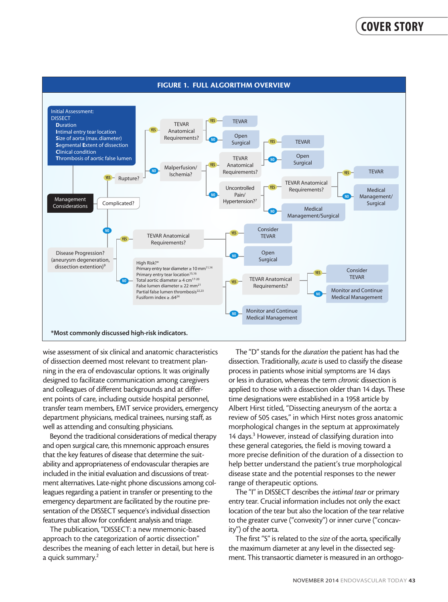

wise assessment of six clinical and anatomic characteristics of dissection deemed most relevant to treatment planning in the era of endovascular options. It was originally designed to facilitate communication among caregivers and colleagues of different backgrounds and at different points of care, including outside hospital personnel, transfer team members, EMT service providers, emergency department physicians, medical trainees, nursing staff, as well as attending and consulting physicians.

Beyond the traditional considerations of medical therapy and open surgical care, this mnemonic approach ensures that the key features of disease that determine the suitability and appropriateness of endovascular therapies are included in the initial evaluation and discussions of treatment alternatives. Late-night phone discussions among colleagues regarding a patient in transfer or presenting to the emergency department are facilitated by the routine presentation of the DISSECT sequence's individual dissection features that allow for confident analysis and triage.

The publication, "DISSECT: a new mnemonic-based approach to the categorization of aortic dissection" describes the meaning of each letter in detail, but here is a quick summary.<sup>2</sup>

The "D" stands for the *duration* the patient has had the dissection. Traditionally, *acute* is used to classify the disease process in patients whose initial symptoms are 14 days or less in duration, whereas the term *chronic* dissection is applied to those with a dissection older than 14 days. These time designations were established in a 1958 article by Albert Hirst titled, "Dissecting aneurysm of the aorta: a review of 505 cases," in which Hirst notes gross anatomic morphological changes in the septum at approximately 14 days.<sup>3</sup> However, instead of classifying duration into these general categories, the field is moving toward a more precise definition of the duration of a dissection to help better understand the patient's true morphological disease state and the potential responses to the newer range of therapeutic options.

The "I" in DISSECT describes the *intimal tear* or primary entry tear. Crucial information includes not only the exact location of the tear but also the location of the tear relative to the greater curve ("convexity") or inner curve ("concavity") of the aorta.

The first "S" is related to the *size* of the aorta, specifically the maximum diameter at any level in the dissected segment. This transaortic diameter is measured in an orthogo-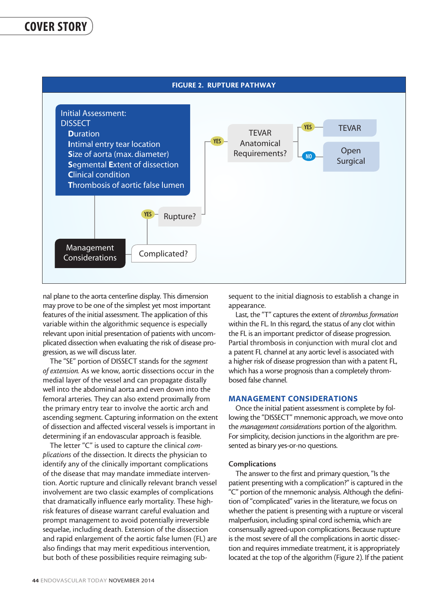

nal plane to the aorta centerline display. This dimension may prove to be one of the simplest yet most important features of the initial assessment. The application of this variable within the algorithmic sequence is especially relevant upon initial presentation of patients with uncomplicated dissection when evaluating the risk of disease progression, as we will discuss later.

The "SE" portion of DISSECT stands for the *segment of extension.* As we know, aortic dissections occur in the medial layer of the vessel and can propagate distally well into the abdominal aorta and even down into the femoral arteries. They can also extend proximally from the primary entry tear to involve the aortic arch and ascending segment. Capturing information on the extent of dissection and affected visceral vessels is important in determining if an endovascular approach is feasible.

The letter "C" is used to capture the clinical *complications* of the dissection. It directs the physician to identify any of the clinically important complications of the disease that may mandate immediate intervention. Aortic rupture and clinically relevant branch vessel involvement are two classic examples of complications that dramatically influence early mortality. These highrisk features of disease warrant careful evaluation and prompt management to avoid potentially irreversible sequelae, including death. Extension of the dissection and rapid enlargement of the aortic false lumen (FL) are also findings that may merit expeditious intervention, but both of these possibilities require reimaging subsequent to the initial diagnosis to establish a change in appearance.

Last, the "T" captures the extent of *thrombus formation* within the FL. In this regard, the status of any clot within the FL is an important predictor of disease progression. Partial thrombosis in conjunction with mural clot and a patent FL channel at any aortic level is associated with a higher risk of disease progression than with a patent FL, which has a worse prognosis than a completely thrombosed false channel.

# MANAGEMENT CONSIDERATIONS

Once the initial patient assessment is complete by following the "DISSECT" mnemonic approach, we move onto the *management considerations* portion of the algorithm. For simplicity, decision junctions in the algorithm are presented as binary yes-or-no questions.

#### **Complications**

The answer to the first and primary question, "Is the patient presenting with a complication?" is captured in the "C" portion of the mnemonic analysis. Although the definition of "complicated" varies in the literature, we focus on whether the patient is presenting with a rupture or visceral malperfusion, including spinal cord ischemia, which are consensually agreed-upon complications. Because rupture is the most severe of all the complications in aortic dissection and requires immediate treatment, it is appropriately located at the top of the algorithm (Figure 2). If the patient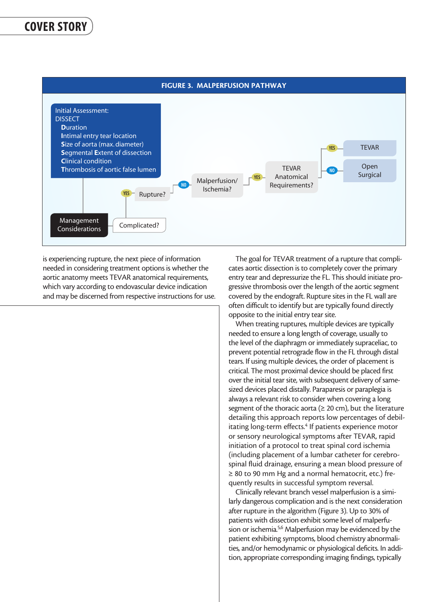

is experiencing rupture, the next piece of information needed in considering treatment options is whether the aortic anatomy meets TEVAR anatomical requirements, which vary according to endovascular device indication and may be discerned from respective instructions for use.

The goal for TEVAR treatment of a rupture that complicates aortic dissection is to completely cover the primary entry tear and depressurize the FL. This should initiate progressive thrombosis over the length of the aortic segment covered by the endograft. Rupture sites in the FL wall are often difficult to identify but are typically found directly opposite to the initial entry tear site.

When treating ruptures, multiple devices are typically needed to ensure a long length of coverage, usually to the level of the diaphragm or immediately supraceliac, to prevent potential retrograde flow in the FL through distal tears. If using multiple devices, the order of placement is critical. The most proximal device should be placed first over the initial tear site, with subsequent delivery of samesized devices placed distally. Paraparesis or paraplegia is always a relevant risk to consider when covering a long segment of the thoracic aorta ( $\geq 20$  cm), but the literature detailing this approach reports low percentages of debilitating long-term effects.<sup>4</sup> If patients experience motor or sensory neurological symptoms after TEVAR, rapid initiation of a protocol to treat spinal cord ischemia (including placement of a lumbar catheter for cerebrospinal fluid drainage, ensuring a mean blood pressure of ≥ 80 to 90 mm Hg and a normal hematocrit, etc.) frequently results in successful symptom reversal.

Clinically relevant branch vessel malperfusion is a similarly dangerous complication and is the next consideration after rupture in the algorithm (Figure 3). Up to 30% of patients with dissection exhibit some level of malperfusion or ischemia.<sup>5,6</sup> Malperfusion may be evidenced by the patient exhibiting symptoms, blood chemistry abnormalities, and/or hemodynamic or physiological deficits. In addition, appropriate corresponding imaging findings, typically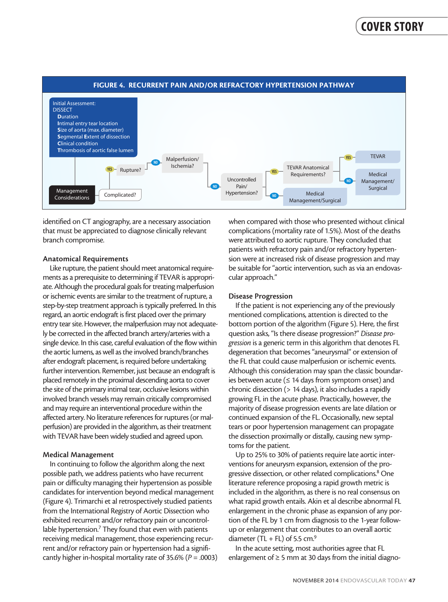

identified on CT angiography, are a necessary association that must be appreciated to diagnose clinically relevant branch compromise.

#### Anatomical Requirements

Like rupture, the patient should meet anatomical requirements as a prerequisite to determining if TEVAR is appropriate. Although the procedural goals for treating malperfusion or ischemic events are similar to the treatment of rupture, a step-by-step treatment approach is typically preferred. In this regard, an aortic endograft is first placed over the primary entry tear site. However, the malperfusion may not adequately be corrected in the affected branch artery/arteries with a single device. In this case, careful evaluation of the flow within the aortic lumens, as well as the involved branch/branches after endograft placement, is required before undertaking further intervention. Remember, just because an endograft is placed remotely in the proximal descending aorta to cover the site of the primary intimal tear, occlusive lesions within involved branch vessels may remain critically compromised and may require an interventional procedure within the affected artery. No literature references for ruptures (or malperfusion) are provided in the algorithm, as their treatment with TEVAR have been widely studied and agreed upon.

#### Medical Management

In continuing to follow the algorithm along the next possible path, we address patients who have recurrent pain or difficulty managing their hypertension as possible candidates for intervention beyond medical management (Figure 4). Trimarchi et al retrospectively studied patients from the International Registry of Aortic Dissection who exhibited recurrent and/or refractory pain or uncontrollable hypertension.<sup>7</sup> They found that even with patients receiving medical management, those experiencing recurrent and/or refractory pain or hypertension had a significantly higher in-hospital mortality rate of 35.6% (*P* = .0003) when compared with those who presented without clinical complications (mortality rate of 1.5%). Most of the deaths were attributed to aortic rupture. They concluded that patients with refractory pain and/or refractory hypertension were at increased risk of disease progression and may be suitable for "aortic intervention, such as via an endovascular approach."

#### Disease Progression

If the patient is not experiencing any of the previously mentioned complications, attention is directed to the bottom portion of the algorithm (Figure 5). Here, the first question asks, "Is there disease progression?" *Disease progression* is a generic term in this algorithm that denotes FL degeneration that becomes "aneurysmal" or extension of the FL that could cause malperfusion or ischemic events. Although this consideration may span the classic boundaries between acute ( $\leq$  14 days from symptom onset) and chronic dissection (> 14 days), it also includes a rapidly growing FL in the acute phase. Practically, however, the majority of disease progression events are late dilation or continued expansion of the FL. Occasionally, new septal tears or poor hypertension management can propagate the dissection proximally or distally, causing new symptoms for the patient.

Up to 25% to 30% of patients require late aortic interventions for aneurysm expansion, extension of the progressive dissection, or other related complications.<sup>8</sup> One literature reference proposing a rapid growth metric is included in the algorithm, as there is no real consensus on what rapid growth entails. Akin et al describe abnormal FL enlargement in the chronic phase as expansion of any portion of the FL by 1 cm from diagnosis to the 1-year followup or enlargement that contributes to an overall aortic diameter (TL + FL) of 5.5 cm. $9$ 

In the acute setting, most authorities agree that FL enlargement of  $\geq 5$  mm at 30 days from the initial diagno-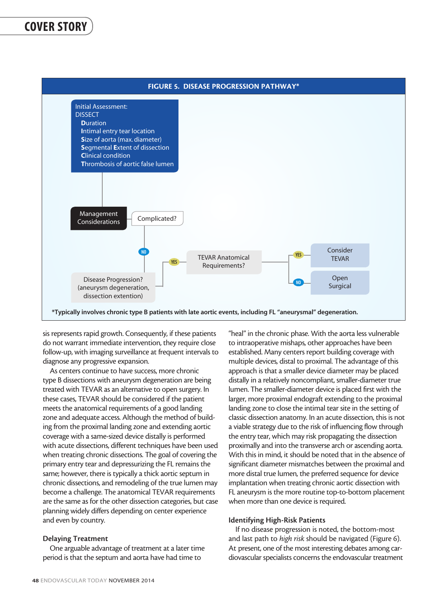

sis represents rapid growth. Consequently, if these patients do not warrant immediate intervention, they require close follow-up, with imaging surveillance at frequent intervals to diagnose any progressive expansion.

As centers continue to have success, more chronic type B dissections with aneurysm degeneration are being treated with TEVAR as an alternative to open surgery. In these cases, TEVAR should be considered if the patient meets the anatomical requirements of a good landing zone and adequate access. Although the method of building from the proximal landing zone and extending aortic coverage with a same-sized device distally is performed with acute dissections, different techniques have been used when treating chronic dissections. The goal of covering the primary entry tear and depressurizing the FL remains the same; however, there is typically a thick aortic septum in chronic dissections, and remodeling of the true lumen may become a challenge. The anatomical TEVAR requirements are the same as for the other dissection categories, but case planning widely differs depending on center experience and even by country.

#### Delaying Treatment

One arguable advantage of treatment at a later time period is that the septum and aorta have had time to

"heal" in the chronic phase. With the aorta less vulnerable to intraoperative mishaps, other approaches have been established. Many centers report building coverage with multiple devices, distal to proximal. The advantage of this approach is that a smaller device diameter may be placed distally in a relatively noncompliant, smaller-diameter true lumen. The smaller-diameter device is placed first with the larger, more proximal endograft extending to the proximal landing zone to close the intimal tear site in the setting of classic dissection anatomy. In an acute dissection, this is not a viable strategy due to the risk of influencing flow through the entry tear, which may risk propagating the dissection proximally and into the transverse arch or ascending aorta. With this in mind, it should be noted that in the absence of significant diameter mismatches between the proximal and more distal true lumen, the preferred sequence for device implantation when treating chronic aortic dissection with FL aneurysm is the more routine top-to-bottom placement when more than one device is required.

## Identifying High-Risk Patients

If no disease progression is noted, the bottom-most and last path to *high risk* should be navigated (Figure 6). At present, one of the most interesting debates among cardiovascular specialists concerns the endovascular treatment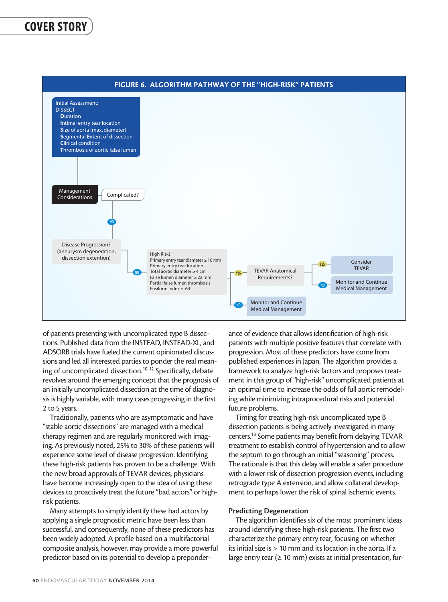

of patients presenting with uncomplicated type B dissections. Published data from the INSTEAD, INSTEAD-XL, and ADSORB trials have fueled the current opinionated discussions and led all interested parties to ponder the real meaning of uncomplicated dissection.10-12 Specifically, debate revolves around the emerging concept that the prognosis of an initially uncomplicated dissection at the time of diagnosis is highly variable, with many cases progressing in the first 2 to 5 years.

Traditionally, patients who are asymptomatic and have "stable aortic dissections" are managed with a medical therapy regimen and are regularly monitored with imaging. As previously noted, 25% to 30% of these patients will experience some level of disease progression. Identifying these high-risk patients has proven to be a challenge. With the new broad approvals of TEVAR devices, physicians have become increasingly open to the idea of using these devices to proactively treat the future "bad actors" or highrisk patients.

Many attempts to simply identify these bad actors by applying a single prognostic metric have been less than successful, and consequently, none of these predictors has been widely adopted. A profile based on a multifactorial composite analysis, however, may provide a more powerful predictor based on its potential to develop a preponderance of evidence that allows identification of high-risk patients with multiple positive features that correlate with progression. Most of these predictors have come from published experiences in Japan. The algorithm provides a framework to analyze high-risk factors and proposes treatment in this group of "high-risk" uncomplicated patients at an optimal time to increase the odds of full aortic remodeling while minimizing intraprocedural risks and potential future problems.

Timing for treating high-risk uncomplicated type B dissection patients is being actively investigated in many centers.13 Some patients may benefit from delaying TEVAR treatment to establish control of hypertension and to allow the septum to go through an initial "seasoning" process. The rationale is that this delay will enable a safer procedure with a lower risk of dissection progression events, including retrograde type A extension, and allow collateral development to perhaps lower the risk of spinal ischemic events.

#### Predicting Degeneration

The algorithm identifies six of the most prominent ideas around identifying these high-risk patients. The first two characterize the primary entry tear, focusing on whether its initial size is > 10 mm and its location in the aorta. If a large entry tear ( $\geq 10$  mm) exists at initial presentation, fur